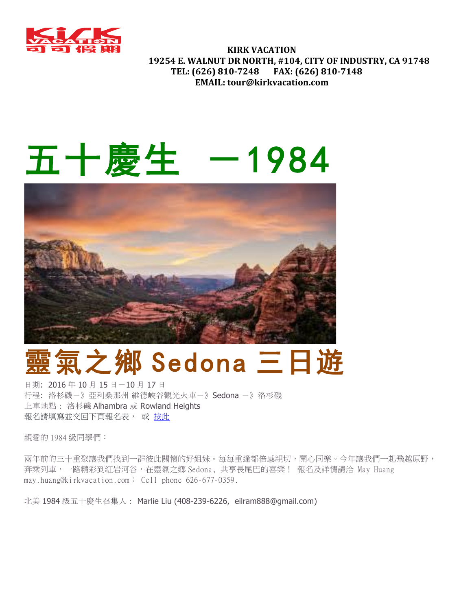

**KIRK VACATION 19254 E. WALNUT DR NORTH, #104, CITY OF INDUSTRY, CA 91748 TEL:** (626) 810-7248 **FAX:** (626) 810-7148 **EMAIL:** tour@kirkvacation.com

# 五十慶生 - 1984



# 靈氣之鄉 Sedona 三日遊

日期: 2016年10月15日-10月17日 行程: 洛杉磯-》亞利桑那州 維德峽谷觀光火車-》Sedona -》洛杉磯 上車地點: 洛杉磯 Alhambra 或 Rowland Heights 報名請填寫並交回下頁報名表, 或 按此

親愛的 1984 級同學們:

兩年前的三十重聚讓我們找到一群彼此關懷的好姐妹。每每重逢都倍感親切,開心同樂。今年讓我們一起飛越原野, 奔乘列車,一路精彩到紅岩河谷,在靈氣之鄉 Sedona, 共享長尾巴的喜樂! 報名及詳情請洽 May Huang may.huang@kirkvacation.com; Cell phone 626-677-0359.

北美 1984 級五十慶生召集人: Marlie Liu (408-239-6226, eilram888@gmail.com)